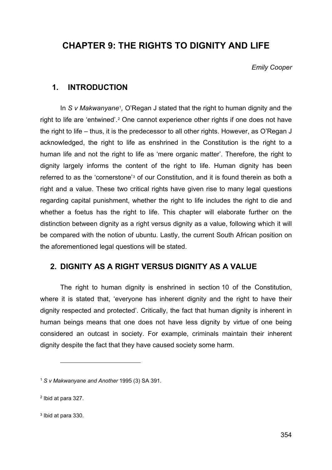# **CHAPTER 9: THE RIGHTS TO DIGNITY AND LIFE**

*Emily Cooper*

## **1. INTRODUCTION**

In *S v Makwanyane*[1](#page-0-0)*,* O'Regan J stated that the right to human dignity and the right to life are 'entwined'.[2](#page-0-1) One cannot experience other rights if one does not have the right to life – thus, it is the predecessor to all other rights. However, as O'Regan J acknowledged, the right to life as enshrined in the Constitution is the right to a human life and not the right to life as 'mere organic matter'. Therefore, the right to dignity largely informs the content of the right to life. Human dignity has been referred to as the 'cornerstone'[3](#page-0-2) of our Constitution, and it is found therein as both a right and a value. These two critical rights have given rise to many legal questions regarding capital punishment, whether the right to life includes the right to die and whether a foetus has the right to life. This chapter will elaborate further on the distinction between dignity as a right versus dignity as a value, following which it will be compared with the notion of ubuntu. Lastly, the current South African position on the aforementioned legal questions will be stated.

# **2. DIGNITY AS A RIGHT VERSUS DIGNITY AS A VALUE**

The right to human dignity is enshrined in section 10 of the Constitution, where it is stated that, 'everyone has inherent dignity and the right to have their dignity respected and protected'. Critically, the fact that human dignity is inherent in human beings means that one does not have less dignity by virtue of one being considered an outcast in society. For example, criminals maintain their inherent dignity despite the fact that they have caused society some harm.

<span id="page-0-0"></span><sup>1</sup> *S v Makwanyane and Another* 1995 (3) SA 391.

<span id="page-0-1"></span><sup>2</sup> Ibid at para 327.

<span id="page-0-2"></span><sup>3</sup> Ibid at para 330.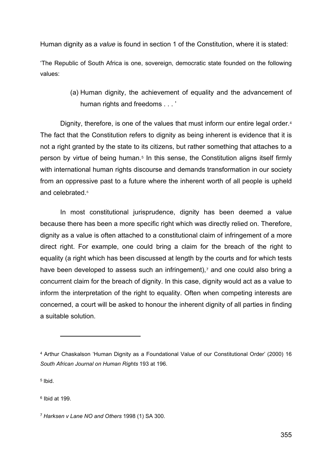Human dignity as a *value* is found in section 1 of the Constitution, where it is stated:

'The Republic of South Africa is one, sovereign, democratic state founded on the following values:

> (a) Human dignity, the achievement of equality and the advancement of human rights and freedoms . . . '

Dignity, therefore, is one of the values that must inform our entire legal order.<sup>[4](#page-1-0)</sup> The fact that the Constitution refers to dignity as being inherent is evidence that it is not a right granted by the state to its citizens, but rather something that attaches to a person by virtue of being human.[5](#page-1-1) In this sense, the Constitution aligns itself firmly with international human rights discourse and demands transformation in our society from an oppressive past to a future where the inherent worth of all people is upheld and celebrated.<sup>[6](#page-1-2)</sup>

In most constitutional jurisprudence, dignity has been deemed a value because there has been a more specific right which was directly relied on. Therefore, dignity as a value is often attached to a constitutional claim of infringement of a more direct right. For example, one could bring a claim for the breach of the right to equality (a right which has been discussed at length by the courts and for which tests have been developed to assess such an infringement),<sup>[7](#page-1-3)</sup> and one could also bring a concurrent claim for the breach of dignity. In this case, dignity would act as a value to inform the interpretation of the right to equality. Often when competing interests are concerned, a court will be asked to honour the inherent dignity of all parties in finding a suitable solution.

<span id="page-1-1"></span><sup>5</sup> Ibid.

<span id="page-1-2"></span><sup>6</sup> Ibid at 199.

<span id="page-1-0"></span><sup>4</sup> Arthur Chaskalson 'Human Dignity as a Foundational Value of our Constitutional Order' (2000) 16 *South African Journal on Human Rights* 193 at 196.

<span id="page-1-3"></span><sup>7</sup> *Harksen v Lane NO and Others* 1998 (1) SA 300.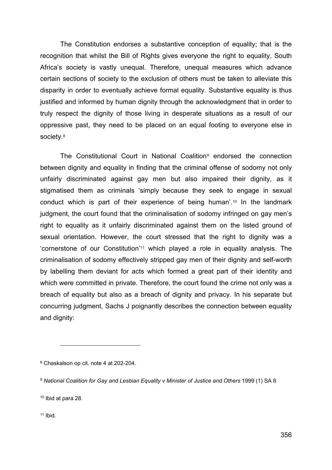The Constitution endorses a substantive conception of equality; that is the recognition that whilst the Bill of Rights gives everyone the right to equality, South Africa's society is vastly unequal. Therefore, unequal measures which advance certain sections of society to the exclusion of others must be taken to alleviate this disparity in order to eventually achieve formal equality. Substantive equality is thus justified and informed by human dignity through the acknowledgment that in order to truly respect the dignity of those living in desperate situations as a result of our oppressive past, they need to be placed on an equal footing to everyone else in society.<sup>[8](#page-2-0)</sup>

The Constitutional Court in National Coalition<sup>[9](#page-2-1)</sup> endorsed the connection between dignity and equality in finding that the criminal offense of sodomy not only unfairly discriminated against gay men but also impaired their dignity, as it stigmatised them as criminals 'simply because they seek to engage in sexual conduct which is part of their experience of being human'.[10](#page-2-2) In the landmark judgment, the court found that the criminalisation of sodomy infringed on gay men's right to equality as it unfairly discriminated against them on the listed ground of sexual orientation. However, the court stressed that the right to dignity was a 'cornerstone of our Constitution'[11](#page-2-3) which played a role in equality analysis. The criminalisation of sodomy effectively stripped gay men of their dignity and self-worth by labelling them deviant for acts which formed a great part of their identity and which were committed in private. Therefore, the court found the crime not only was a breach of equality but also as a breach of dignity and privacy. In his separate but concurring judgment, Sachs J poignantly describes the connection between equality and dignity:

<span id="page-2-0"></span><sup>8</sup> Chaskalson op cit. note 4 at 202-204.

<span id="page-2-1"></span><sup>9</sup> *National Coalition for Gay and Lesbian Equality v Minister of Justice and Others* 1999 (1) SA 6

<span id="page-2-2"></span><sup>10</sup> Ibid at para 28.

<span id="page-2-3"></span> $11$  Ibid.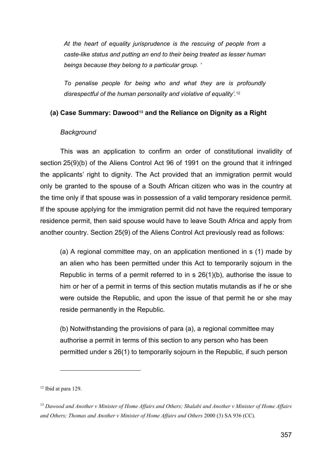*At the heart of equality jurisprudence is the rescuing of people from a caste-like status and putting an end to their being treated as lesser human beings because they belong to a particular group. '*

*To penalise people for being who and what they are is profoundly disrespectful of the human personality and violative of equality'.*[12](#page-3-0)

#### **(a) Case Summary: Dawood[13](#page-3-1) and the Reliance on Dignity as a Right**

#### *Background*

This was an application to confirm an order of constitutional invalidity of section 25(9)(b) of the Aliens Control Act 96 of 1991 on the ground that it infringed the applicants' right to dignity. The Act provided that an immigration permit would only be granted to the spouse of a South African citizen who was in the country at the time only if that spouse was in possession of a valid temporary residence permit. If the spouse applying for the immigration permit did not have the required temporary residence permit, then said spouse would have to leave South Africa and apply from another country. Section 25(9) of the Aliens Control Act previously read as follows:

(a) A regional committee may, on an application mentioned in s (1) made by an alien who has been permitted under this Act to temporarily sojourn in the Republic in terms of a permit referred to in s 26(1)(b), authorise the issue to him or her of a permit in terms of this section mutatis mutandis as if he or she were outside the Republic, and upon the issue of that permit he or she may reside permanently in the Republic.

(b) Notwithstanding the provisions of para (a), a regional committee may authorise a permit in terms of this section to any person who has been permitted under s 26(1) to temporarily sojourn in the Republic, if such person

<span id="page-3-0"></span><sup>12</sup> Ibid at para 129.

<span id="page-3-1"></span><sup>13</sup> *Dawood and Another v Minister of Home Affairs and Others; Shalabi and Another v Minister of Home Affairs and Others; Thomas and Another v Minister of Home Affairs and Others* 2000 (3) SA 936 (CC).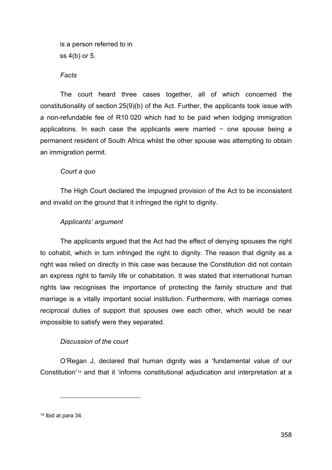is a person referred to in ss 4(b) or 5.

*Facts*

The court heard three cases together, all of which concerned the constitutionality of section 25(9)(b) of the Act. Further, the applicants took issue with a non-refundable fee of R10 020 which had to be paid when lodging immigration applications. In each case the applicants were married − one spouse being a permanent resident of South Africa whilst the other spouse was attempting to obtain an immigration permit.

#### *Court a quo*

The High Court declared the impugned provision of the Act to be inconsistent and invalid on the ground that it infringed the right to dignity.

#### *Applicants' argument*

The applicants argued that the Act had the effect of denying spouses the right to cohabit, which in turn infringed the right to dignity. The reason that dignity as a right was relied on directly in this case was because the Constitution did not contain an express right to family life or cohabitation. It was stated that international human rights law recognises the importance of protecting the family structure and that marriage is a vitally important social institution. Furthermore, with marriage comes reciprocal duties of support that spouses owe each other, which would be near impossible to satisfy were they separated.

#### *Discussion of the court*

O'Regan J, declared that human dignity was a 'fundamental value of our Constitution'[14](#page-4-0) and that it 'informs constitutional adjudication and interpretation at a

<span id="page-4-0"></span><sup>14</sup> Ibid at para 34.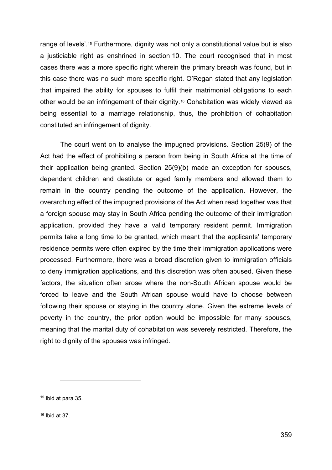range of levels'[.15](#page-5-0) Furthermore, dignity was not only a constitutional value but is also a justiciable right as enshrined in section 10. The court recognised that in most cases there was a more specific right wherein the primary breach was found, but in this case there was no such more specific right. O'Regan stated that any legislation that impaired the ability for spouses to fulfil their matrimonial obligations to each other would be an infringement of their dignity.[16](#page-5-1) Cohabitation was widely viewed as being essential to a marriage relationship, thus, the prohibition of cohabitation constituted an infringement of dignity.

The court went on to analyse the impugned provisions. Section 25(9) of the Act had the effect of prohibiting a person from being in South Africa at the time of their application being granted. Section 25(9)(b) made an exception for spouses, dependent children and destitute or aged family members and allowed them to remain in the country pending the outcome of the application. However, the overarching effect of the impugned provisions of the Act when read together was that a foreign spouse may stay in South Africa pending the outcome of their immigration application, provided they have a valid temporary resident permit. Immigration permits take a long time to be granted, which meant that the applicants' temporary residence permits were often expired by the time their immigration applications were processed. Furthermore, there was a broad discretion given to immigration officials to deny immigration applications, and this discretion was often abused. Given these factors, the situation often arose where the non-South African spouse would be forced to leave and the South African spouse would have to choose between following their spouse or staying in the country alone. Given the extreme levels of poverty in the country, the prior option would be impossible for many spouses, meaning that the marital duty of cohabitation was severely restricted. Therefore, the right to dignity of the spouses was infringed.

<span id="page-5-1"></span><sup>16</sup> Ibid at 37.

<span id="page-5-0"></span><sup>15</sup> Ibid at para 35.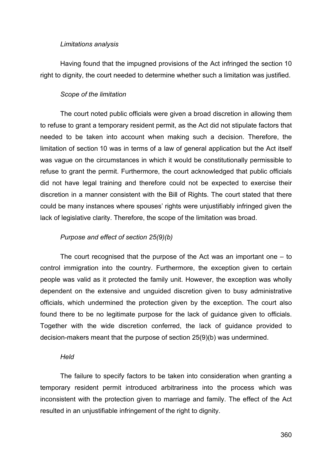#### *Limitations analysis*

Having found that the impugned provisions of the Act infringed the section 10 right to dignity, the court needed to determine whether such a limitation was justified.

### *Scope of the limitation*

The court noted public officials were given a broad discretion in allowing them to refuse to grant a temporary resident permit, as the Act did not stipulate factors that needed to be taken into account when making such a decision. Therefore, the limitation of section 10 was in terms of a law of general application but the Act itself was vague on the circumstances in which it would be constitutionally permissible to refuse to grant the permit. Furthermore, the court acknowledged that public officials did not have legal training and therefore could not be expected to exercise their discretion in a manner consistent with the Bill of Rights. The court stated that there could be many instances where spouses' rights were unjustifiably infringed given the lack of legislative clarity. Therefore, the scope of the limitation was broad.

## *Purpose and effect of section 25(9)(b)*

The court recognised that the purpose of the Act was an important one – to control immigration into the country. Furthermore, the exception given to certain people was valid as it protected the family unit. However, the exception was wholly dependent on the extensive and unguided discretion given to busy administrative officials, which undermined the protection given by the exception. The court also found there to be no legitimate purpose for the lack of guidance given to officials. Together with the wide discretion conferred, the lack of guidance provided to decision-makers meant that the purpose of section 25(9)(b) was undermined.

#### *Held*

The failure to specify factors to be taken into consideration when granting a temporary resident permit introduced arbitrariness into the process which was inconsistent with the protection given to marriage and family. The effect of the Act resulted in an unjustifiable infringement of the right to dignity.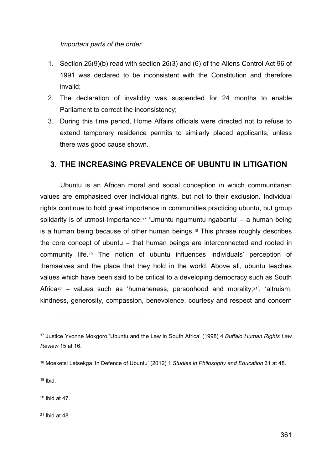#### *Important parts of the order*

- 1. Section 25(9)(b) read with section 26(3) and (6) of the Aliens Control Act 96 of 1991 was declared to be inconsistent with the Constitution and therefore invalid;
- 2. The declaration of invalidity was suspended for 24 months to enable Parliament to correct the inconsistency;
- 3. During this time period, Home Affairs officials were directed not to refuse to extend temporary residence permits to similarly placed applicants, unless there was good cause shown.

# **3. THE INCREASING PREVALENCE OF UBUNTU IN LITIGATION**

Ubuntu is an African moral and social conception in which communitarian values are emphasised over individual rights, but not to their exclusion. Individual rights continue to hold great importance in communities practicing ubuntu, but group solidarity is of utmost importance;<sup>[17](#page-7-0)</sup> 'Umuntu ngumuntu ngabantu' – a human being is a human being because of other human beings.[18](#page-7-1) This phrase roughly describes the core concept of ubuntu – that human beings are interconnected and rooted in community life.[19](#page-7-2) The notion of ubuntu influences individuals' perception of themselves and the place that they hold in the world. Above all, ubuntu teaches values which have been said to be critical to a developing democracy such as South Africa<sup>[20](#page-7-3)</sup> – values such as 'humaneness, personhood and morality,<sup>[21](#page-7-4)'</sup>, 'altruism, kindness, generosity, compassion, benevolence, courtesy and respect and concern

<span id="page-7-2"></span> $19$  Ibid.

<span id="page-7-3"></span><sup>20</sup> Ibid at 47.

<span id="page-7-4"></span><sup>21</sup> Ibid at 48.

<span id="page-7-0"></span><sup>17</sup> Justice Yvonne Mokgoro 'Ubuntu and the Law in South Africa' (1998) 4 *Buffalo Human Rights Law Review* 15 at 16.

<span id="page-7-1"></span><sup>18</sup> Moeketsi Letsekga 'In Defence of Ubuntu' (2012) 1 *Studies in Philosophy and Education* 31 at 48.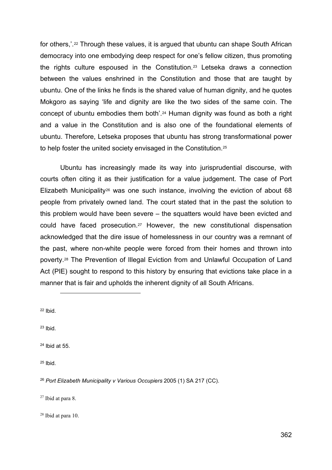for others,'.<sup>[22](#page-8-0)</sup> Through these values, it is argued that ubuntu can shape South African democracy into one embodying deep respect for one's fellow citizen, thus promoting the rights culture espoused in the Constitution.[23](#page-8-1) Letseka draws a connection between the values enshrined in the Constitution and those that are taught by ubuntu. One of the links he finds is the shared value of human dignity, and he quotes Mokgoro as saying 'life and dignity are like the two sides of the same coin. The concept of ubuntu embodies them both'.[24](#page-8-2) Human dignity was found as both a right and a value in the Constitution and is also one of the foundational elements of ubuntu. Therefore, Letseka proposes that ubuntu has strong transformational power to help foster the united society envisaged in the Constitution[.25](#page-8-3)

Ubuntu has increasingly made its way into jurisprudential discourse, with courts often citing it as their justification for a value judgement. The case of Port Elizabeth Municipality<sup>[26](#page-8-4)</sup> was one such instance, involving the eviction of about 68 people from privately owned land. The court stated that in the past the solution to this problem would have been severe – the squatters would have been evicted and could have faced prosecution.[27](#page-8-5) However, the new constitutional dispensation acknowledged that the dire issue of homelessness in our country was a remnant of the past, where non-white people were forced from their homes and thrown into poverty.[28](#page-8-6) The Prevention of Illegal Eviction from and Unlawful Occupation of Land Act (PIE) sought to respond to this history by ensuring that evictions take place in a manner that is fair and upholds the inherent dignity of all South Africans.

<span id="page-8-0"></span><sup>22</sup> Ibid.

<span id="page-8-1"></span><sup>23</sup> Ibid.

<span id="page-8-2"></span><sup>24</sup> Ibid at 55.

<span id="page-8-3"></span><sup>25</sup> Ibid.

<span id="page-8-4"></span><sup>26</sup> *Port Elizabeth Municipality v Various Occupiers* 2005 (1) SA 217 (CC).

<span id="page-8-5"></span><sup>27</sup> Ibid at para 8.

<span id="page-8-6"></span><sup>28</sup> Ibid at para 10.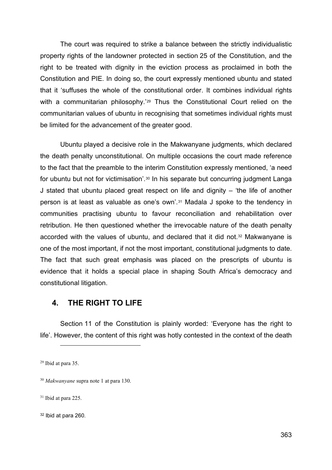The court was required to strike a balance between the strictly individualistic property rights of the landowner protected in section 25 of the Constitution, and the right to be treated with dignity in the eviction process as proclaimed in both the Constitution and PIE. In doing so, the court expressly mentioned ubuntu and stated that it 'suffuses the whole of the constitutional order. It combines individual rights with a communitarian philosophy.<sup>'[29](#page-9-0)</sup> Thus the Constitutional Court relied on the communitarian values of ubuntu in recognising that sometimes individual rights must be limited for the advancement of the greater good.

Ubuntu played a decisive role in the Makwanyane judgments, which declared the death penalty unconstitutional. On multiple occasions the court made reference to the fact that the preamble to the interim Constitution expressly mentioned, 'a need for ubuntu but not for victimisation'.[30](#page-9-1) In his separate but concurring judgment Langa J stated that ubuntu placed great respect on life and dignity  $-$  'the life of another person is at least as valuable as one's own'.[31](#page-9-2) Madala J spoke to the tendency in communities practising ubuntu to favour reconciliation and rehabilitation over retribution. He then questioned whether the irrevocable nature of the death penalty accorded with the values of ubuntu, and declared that it did not.[32](#page-9-3) Makwanyane is one of the most important, if not the most important, constitutional judgments to date. The fact that such great emphasis was placed on the prescripts of ubuntu is evidence that it holds a special place in shaping South Africa's democracy and constitutional litigation.

# **4. THE RIGHT TO LIFE**

Section 11 of the Constitution is plainly worded: 'Everyone has the right to life'. However, the content of this right was hotly contested in the context of the death

<span id="page-9-0"></span><sup>29</sup> Ibid at para 35.

<span id="page-9-1"></span><sup>30</sup> *Makwanyane* supra note 1 at para 130.

<span id="page-9-2"></span><sup>31</sup> Ibid at para 225.

<span id="page-9-3"></span><sup>32</sup> Ibid at para 260.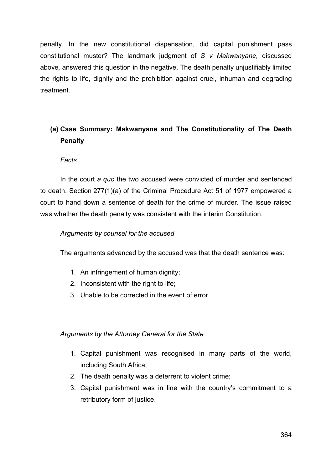penalty. In the new constitutional dispensation, did capital punishment pass constitutional muster? The landmark judgment of *S v Makwanyane,* discussed above*,* answered this question in the negative. The death penalty unjustifiably limited the rights to life, dignity and the prohibition against cruel, inhuman and degrading treatment.

# **(a) Case Summary: Makwanyane and The Constitutionality of The Death Penalty**

## *Facts*

In the court *a quo* the two accused were convicted of murder and sentenced to death. Section 277(1)(a) of the Criminal Procedure Act 51 of 1977 empowered a court to hand down a sentence of death for the crime of murder. The issue raised was whether the death penalty was consistent with the interim Constitution.

## *Arguments by counsel for the accused*

The arguments advanced by the accused was that the death sentence was:

- 1. An infringement of human dignity;
- 2. Inconsistent with the right to life;
- 3. Unable to be corrected in the event of error.

#### *Arguments by the Attorney General for the State*

- 1. Capital punishment was recognised in many parts of the world, including South Africa;
- 2. The death penalty was a deterrent to violent crime;
- 3. Capital punishment was in line with the country's commitment to a retributory form of justice.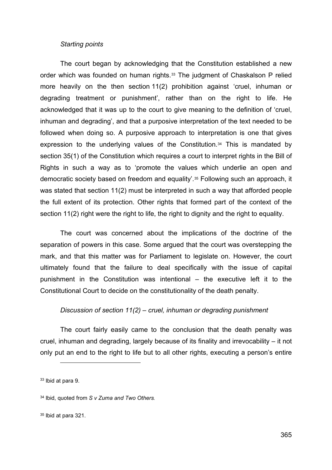#### *Starting points*

The court began by acknowledging that the Constitution established a new order which was founded on human rights.[33](#page-11-0) The judgment of Chaskalson P relied more heavily on the then section 11(2) prohibition against 'cruel, inhuman or degrading treatment or punishment', rather than on the right to life. He acknowledged that it was up to the court to give meaning to the definition of 'cruel, inhuman and degrading', and that a purposive interpretation of the text needed to be followed when doing so. A purposive approach to interpretation is one that gives expression to the underlying values of the Constitution.[34](#page-11-1) This is mandated by section 35(1) of the Constitution which requires a court to interpret rights in the Bill of Rights in such a way as to 'promote the values which underlie an open and democratic society based on freedom and equality'.[35](#page-11-2) Following such an approach, it was stated that section 11(2) must be interpreted in such a way that afforded people the full extent of its protection. Other rights that formed part of the context of the section 11(2) right were the right to life, the right to dignity and the right to equality.

The court was concerned about the implications of the doctrine of the separation of powers in this case. Some argued that the court was overstepping the mark, and that this matter was for Parliament to legislate on. However, the court ultimately found that the failure to deal specifically with the issue of capital punishment in the Constitution was intentional – the executive left it to the Constitutional Court to decide on the constitutionality of the death penalty.

## *Discussion of section 11(2) – cruel, inhuman or degrading punishment*

The court fairly easily came to the conclusion that the death penalty was cruel, inhuman and degrading, largely because of its finality and irrevocability – it not only put an end to the right to life but to all other rights, executing a person's entire

<span id="page-11-0"></span><sup>33</sup> Ibid at para 9.

<span id="page-11-1"></span><sup>34</sup> Ibid, quoted from *S v Zuma and Two Others.*

<span id="page-11-2"></span><sup>35</sup> Ibid at para 321.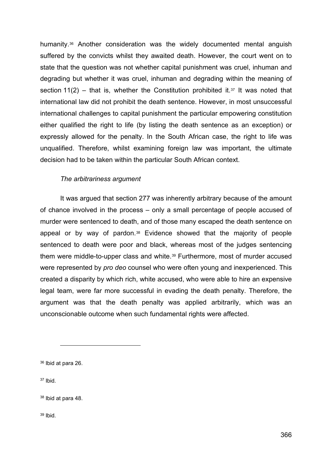humanity.[36](#page-12-0) Another consideration was the widely documented mental anguish suffered by the convicts whilst they awaited death. However, the court went on to state that the question was not whether capital punishment was cruel, inhuman and degrading but whether it was cruel, inhuman and degrading within the meaning of section 11(2) – that is, whether the Constitution prohibited it.<sup>[37](#page-12-1)</sup> It was noted that international law did not prohibit the death sentence. However, in most unsuccessful international challenges to capital punishment the particular empowering constitution either qualified the right to life (by listing the death sentence as an exception) or expressly allowed for the penalty. In the South African case, the right to life was unqualified. Therefore, whilst examining foreign law was important, the ultimate decision had to be taken within the particular South African context.

## *The arbitrariness argument*

It was argued that section 277 was inherently arbitrary because of the amount of chance involved in the process – only a small percentage of people accused of murder were sentenced to death, and of those many escaped the death sentence on appeal or by way of pardon.[38](#page-12-2) Evidence showed that the majority of people sentenced to death were poor and black, whereas most of the judges sentencing them were middle-to-upper class and white.[39](#page-12-3) Furthermore, most of murder accused were represented by *pro deo* counsel who were often young and inexperienced. This created a disparity by which rich, white accused, who were able to hire an expensive legal team, were far more successful in evading the death penalty. Therefore, the argument was that the death penalty was applied arbitrarily, which was an unconscionable outcome when such fundamental rights were affected.

<span id="page-12-1"></span><sup>37</sup> Ibid.

<span id="page-12-3"></span><sup>39</sup> Ibid.

<span id="page-12-0"></span><sup>36</sup> Ibid at para 26.

<span id="page-12-2"></span><sup>38</sup> Ibid at para 48.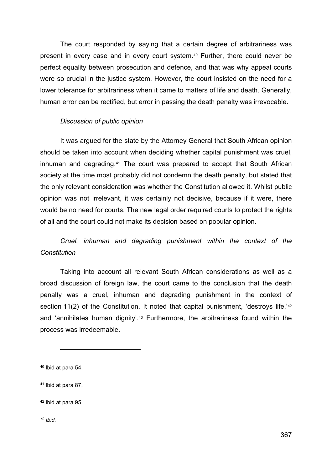The court responded by saying that a certain degree of arbitrariness was present in every case and in every court system.[40](#page-13-0) Further, there could never be perfect equality between prosecution and defence, and that was why appeal courts were so crucial in the justice system. However, the court insisted on the need for a lower tolerance for arbitrariness when it came to matters of life and death. Generally, human error can be rectified, but error in passing the death penalty was irrevocable.

#### *Discussion of public opinion*

It was argued for the state by the Attorney General that South African opinion should be taken into account when deciding whether capital punishment was cruel, inhuman and degrading.[41](#page-13-1) The court was prepared to accept that South African society at the time most probably did not condemn the death penalty, but stated that the only relevant consideration was whether the Constitution allowed it. Whilst public opinion was not irrelevant, it was certainly not decisive, because if it were, there would be no need for courts. The new legal order required courts to protect the rights of all and the court could not make its decision based on popular opinion.

# *Cruel, inhuman and degrading punishment within the context of the Constitution*

Taking into account all relevant South African considerations as well as a broad discussion of foreign law, the court came to the conclusion that the death penalty was a cruel, inhuman and degrading punishment in the context of section 11(2) of the Constitution. It noted that capital punishment, 'destroys life,'<sup>[42](#page-13-2)</sup> and 'annihilates human dignity'.<sup>[43](#page-13-3)</sup> Furthermore, the arbitrariness found within the process was irredeemable.

<span id="page-13-2"></span><sup>42</sup> Ibid at para 95.

<span id="page-13-3"></span>*<sup>43</sup> Ibid.*

<span id="page-13-0"></span><sup>40</sup> Ibid at para 54.

<span id="page-13-1"></span><sup>41</sup> Ibid at para 87.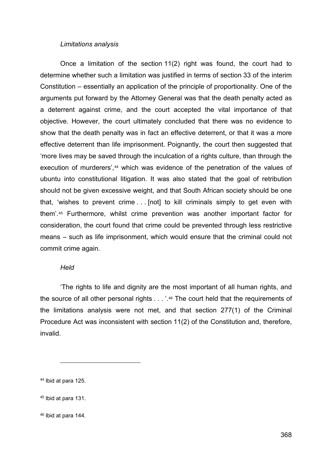#### *Limitations analysis*

Once a limitation of the section 11(2) right was found, the court had to determine whether such a limitation was justified in terms of section 33 of the interim Constitution – essentially an application of the principle of proportionality. One of the arguments put forward by the Attorney General was that the death penalty acted as a deterrent against crime, and the court accepted the vital importance of that objective. However, the court ultimately concluded that there was no evidence to show that the death penalty was in fact an effective deterrent, or that it was a more effective deterrent than life imprisonment. Poignantly, the court then suggested that 'more lives may be saved through the inculcation of a rights culture, than through the execution of murderers',<sup>[44](#page-14-0)</sup> which was evidence of the penetration of the values of ubuntu into constitutional litigation. It was also stated that the goal of retribution should not be given excessive weight, and that South African society should be one that, 'wishes to prevent crime . . . [not] to kill criminals simply to get even with them'.[45](#page-14-1) Furthermore, whilst crime prevention was another important factor for consideration, the court found that crime could be prevented through less restrictive means – such as life imprisonment, which would ensure that the criminal could not commit crime again.

#### *Held*

'The rights to life and dignity are the most important of all human rights, and the source of all other personal rights . . . '.[46](#page-14-2) The court held that the requirements of the limitations analysis were not met, and that section 277(1) of the Criminal Procedure Act was inconsistent with section 11(2) of the Constitution and, therefore, invalid.

<span id="page-14-0"></span><sup>44</sup> Ibid at para 125.

<span id="page-14-1"></span><sup>45</sup> Ibid at para 131.

<span id="page-14-2"></span><sup>46</sup> Ibid at para 144.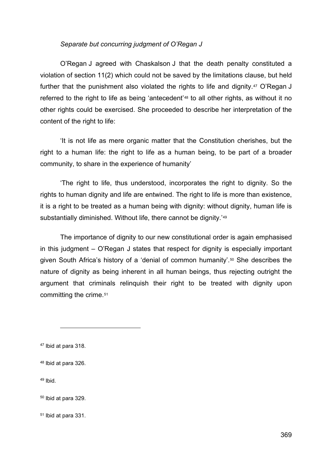#### *Separate but concurring judgment of O'Regan J*

O'Regan J agreed with Chaskalson J that the death penalty constituted a violation of section 11(2) which could not be saved by the limitations clause, but held further that the punishment also violated the rights to life and dignity.<sup>[47](#page-15-0)</sup> O'Regan J referred to the right to life as being 'antecedent'[48](#page-15-1) to all other rights, as without it no other rights could be exercised. She proceeded to describe her interpretation of the content of the right to life:

'It is not life as mere organic matter that the Constitution cherishes, but the right to a human life: the right to life as a human being, to be part of a broader community, to share in the experience of humanity'

'The right to life, thus understood, incorporates the right to dignity. So the rights to human dignity and life are entwined. The right to life is more than existence, it is a right to be treated as a human being with dignity: without dignity, human life is substantially diminished. Without life, there cannot be dignity.<sup>['49](#page-15-2)</sup>

The importance of dignity to our new constitutional order is again emphasised in this judgment – O'Regan J states that respect for dignity is especially important given South Africa's history of a 'denial of common humanity'.[50](#page-15-3) She describes the nature of dignity as being inherent in all human beings, thus rejecting outright the argument that criminals relinquish their right to be treated with dignity upon committing the crime.[51](#page-15-4)

<span id="page-15-2"></span> $49$  Ibid.

<span id="page-15-0"></span><sup>47</sup> Ibid at para 318.

<span id="page-15-1"></span><sup>48</sup> Ibid at para 326.

<span id="page-15-3"></span><sup>50</sup> Ibid at para 329.

<span id="page-15-4"></span><sup>51</sup> Ibid at para 331.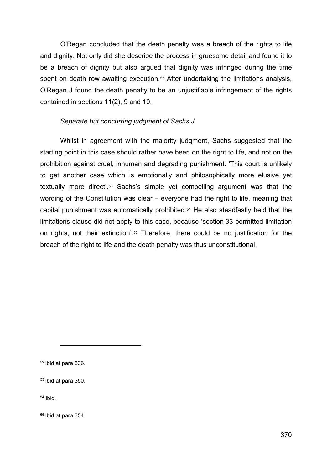O'Regan concluded that the death penalty was a breach of the rights to life and dignity. Not only did she describe the process in gruesome detail and found it to be a breach of dignity but also argued that dignity was infringed during the time spent on death row awaiting execution.<sup>[52](#page-16-0)</sup> After undertaking the limitations analysis, O'Regan J found the death penalty to be an unjustifiable infringement of the rights contained in sections 11(2), 9 and 10.

## *Separate but concurring judgment of Sachs J*

Whilst in agreement with the majority judgment, Sachs suggested that the starting point in this case should rather have been on the right to life, and not on the prohibition against cruel, inhuman and degrading punishment. 'This court is unlikely to get another case which is emotionally and philosophically more elusive yet textually more direct'.[53](#page-16-1) Sachs's simple yet compelling argument was that the wording of the Constitution was clear – everyone had the right to life, meaning that capital punishment was automatically prohibited.[54](#page-16-2) He also steadfastly held that the limitations clause did not apply to this case, because 'section 33 permitted limitation on rights, not their extinction'[.55](#page-16-3) Therefore, there could be no justification for the breach of the right to life and the death penalty was thus unconstitutional.

<span id="page-16-0"></span><sup>52</sup> Ibid at para 336.

<span id="page-16-1"></span><sup>53</sup> Ibid at para 350.

<span id="page-16-2"></span><sup>54</sup> Ibid.

<span id="page-16-3"></span><sup>55</sup> Ibid at para 354.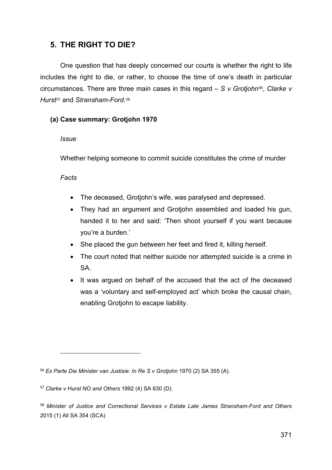# **5. THE RIGHT TO DIE?**

One question that has deeply concerned our courts is whether the right to life includes the right to die, or rather, to choose the time of one's death in particular circumstances. There are three main cases in this regard – *S v Grotjohn*[56,](#page-17-0) *Clarke v Hurst*[57](#page-17-1) and *Stransham-Ford*.[58](#page-17-2)

## **(a) Case summary: Grotjohn 1970**

## *Issue*

Whether helping someone to commit suicide constitutes the crime of murder

# *Facts*

- The deceased, Grotjohn's wife, was paralysed and depressed.
- They had an argument and Grotjohn assembled and loaded his gun, handed it to her and said: 'Then shoot yourself if you want because you're a burden.'
- She placed the gun between her feet and fired it, killing herself.
- The court noted that neither suicide nor attempted suicide is a crime in SA.
- It was argued on behalf of the accused that the act of the deceased was a 'voluntary and self-employed act' which broke the causal chain, enabling Grotjohn to escape liability.

<span id="page-17-0"></span><sup>56</sup> *Ex Parte Die Minister van Justisie: In Re S v Grotjohn* 1970 (2) SA 355 (A).

<span id="page-17-1"></span><sup>57</sup> *Clarke v Hurst NO and Others* 1992 (4) SA 630 (D).

<span id="page-17-2"></span><sup>58</sup> *Minister of Justice and Correctional Services v Estate Late James Stransham-Ford and Others* 2015 (1) All SA 354 (SCA)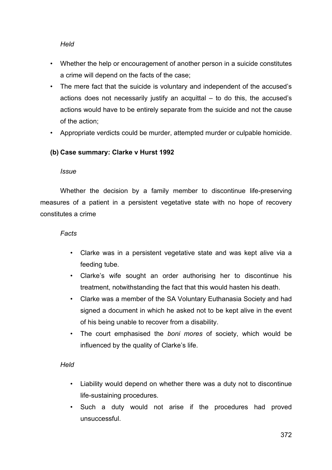## *Held*

- Whether the help or encouragement of another person in a suicide constitutes a crime will depend on the facts of the case;
- The mere fact that the suicide is voluntary and independent of the accused's actions does not necessarily justify an acquittal – to do this, the accused's actions would have to be entirely separate from the suicide and not the cause of the action;
- Appropriate verdicts could be murder, attempted murder or culpable homicide.

## **(b) Case summary: Clarke v Hurst 1992**

#### *Issue*

Whether the decision by a family member to discontinue life-preserving measures of a patient in a persistent vegetative state with no hope of recovery constitutes a crime

## *Facts*

- Clarke was in a persistent vegetative state and was kept alive via a feeding tube.
- Clarke's wife sought an order authorising her to discontinue his treatment, notwithstanding the fact that this would hasten his death.
- Clarke was a member of the SA Voluntary Euthanasia Society and had signed a document in which he asked not to be kept alive in the event of his being unable to recover from a disability.
- The court emphasised the *boni mores* of society, which would be influenced by the quality of Clarke's life.

#### *Held*

- Liability would depend on whether there was a duty not to discontinue life-sustaining procedures.
- Such a duty would not arise if the procedures had proved unsuccessful.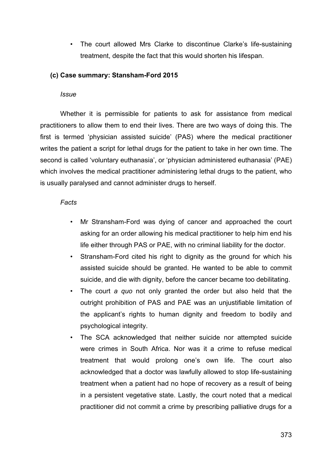• The court allowed Mrs Clarke to discontinue Clarke's life-sustaining treatment, despite the fact that this would shorten his lifespan.

## **(c) Case summary: Stansham-Ford 2015**

#### *Issue*

Whether it is permissible for patients to ask for assistance from medical practitioners to allow them to end their lives. There are two ways of doing this. The first is termed 'physician assisted suicide' (PAS) where the medical practitioner writes the patient a script for lethal drugs for the patient to take in her own time. The second is called 'voluntary euthanasia', or 'physician administered euthanasia' (PAE) which involves the medical practitioner administering lethal drugs to the patient, who is usually paralysed and cannot administer drugs to herself.

## *Facts*

- Mr Stransham-Ford was dying of cancer and approached the court asking for an order allowing his medical practitioner to help him end his life either through PAS or PAE, with no criminal liability for the doctor.
- Stransham-Ford cited his right to dignity as the ground for which his assisted suicide should be granted. He wanted to be able to commit suicide, and die with dignity, before the cancer became too debilitating.
- The court *a quo* not only granted the order but also held that the outright prohibition of PAS and PAE was an unjustifiable limitation of the applicant's rights to human dignity and freedom to bodily and psychological integrity.
- The SCA acknowledged that neither suicide nor attempted suicide were crimes in South Africa. Nor was it a crime to refuse medical treatment that would prolong one's own life. The court also acknowledged that a doctor was lawfully allowed to stop life-sustaining treatment when a patient had no hope of recovery as a result of being in a persistent vegetative state. Lastly, the court noted that a medical practitioner did not commit a crime by prescribing palliative drugs for a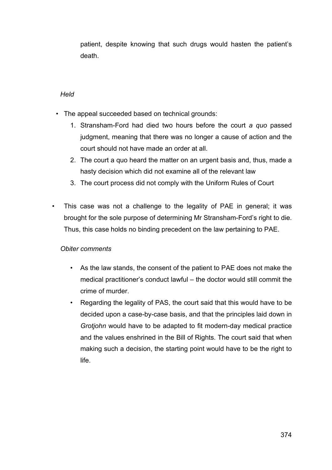patient, despite knowing that such drugs would hasten the patient's death.

## *Held*

- The appeal succeeded based on technical grounds:
	- 1. Stransham-Ford had died two hours before the court *a quo* passed judgment, meaning that there was no longer a cause of action and the court should not have made an order at all.
	- 2. The court a quo heard the matter on an urgent basis and, thus, made a hasty decision which did not examine all of the relevant law
	- 3. The court process did not comply with the Uniform Rules of Court
- This case was not a challenge to the legality of PAE in general; it was brought for the sole purpose of determining Mr Stransham-Ford's right to die. Thus, this case holds no binding precedent on the law pertaining to PAE.

## *Obiter comments*

- As the law stands, the consent of the patient to PAE does not make the medical practitioner's conduct lawful – the doctor would still commit the crime of murder.
- Regarding the legality of PAS, the court said that this would have to be decided upon a case-by-case basis, and that the principles laid down in *Grotjohn* would have to be adapted to fit modern-day medical practice and the values enshrined in the Bill of Rights. The court said that when making such a decision, the starting point would have to be the right to life.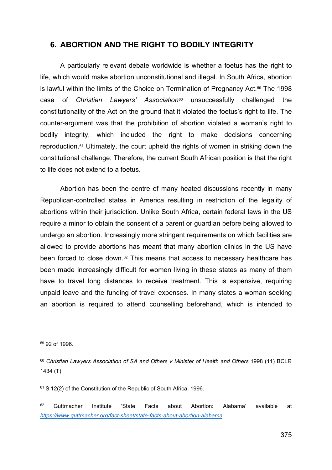# **6. ABORTION AND THE RIGHT TO BODILY INTEGRITY**

A particularly relevant debate worldwide is whether a foetus has the right to life, which would make abortion unconstitutional and illegal. In South Africa, abortion is lawful within the limits of the Choice on Termination of Pregnancy Act.<sup>[59](#page-21-0)</sup> The 1998 case of *Christian Lawyers' Association*[60](#page-21-1) unsuccessfully challenged the constitutionality of the Act on the ground that it violated the foetus's right to life. The counter-argument was that the prohibition of abortion violated a woman's right to bodily integrity, which included the right to make decisions concerning reproduction.[61](#page-21-2) Ultimately, the court upheld the rights of women in striking down the constitutional challenge. Therefore, the current South African position is that the right to life does not extend to a foetus.

Abortion has been the centre of many heated discussions recently in many Republican-controlled states in America resulting in restriction of the legality of abortions within their jurisdiction. Unlike South Africa, certain federal laws in the US require a minor to obtain the consent of a parent or guardian before being allowed to undergo an abortion. Increasingly more stringent requirements on which facilities are allowed to provide abortions has meant that many abortion clinics in the US have been forced to close down.[62](#page-21-3) This means that access to necessary healthcare has been made increasingly difficult for women living in these states as many of them have to travel long distances to receive treatment. This is expensive, requiring unpaid leave and the funding of travel expenses. In many states a woman seeking an abortion is required to attend counselling beforehand, which is intended to

<span id="page-21-0"></span><sup>59</sup> 92 of 1996.

<span id="page-21-2"></span><sup>61</sup> S 12(2) of the Constitution of the Republic of South Africa, 1996.

<span id="page-21-1"></span><sup>60</sup> *Christian Lawyers Association of SA and Others v Minister of Health and Others* 1998 (11) BCLR 1434 (T)

<span id="page-21-3"></span> $62$  Guttmacher Institute 'State Facts about Abortion: Alabama' available at *[https://www.guttmacher.org/fact-sheet/state-facts-about-abortion-alabama.](https://www.guttmacher.org/fact-sheet/state-facts-about-abortion-alabama)*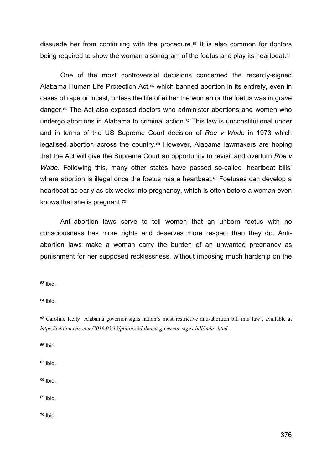dissuade her from continuing with the procedure[.63](#page-22-0) It is also common for doctors being required to show the woman a sonogram of the foetus and play its heartbeat.<sup>64</sup>

One of the most controversial decisions concerned the recently-signed Alabama Human Life Protection Act,<sup>[65](#page-22-2)</sup> which banned abortion in its entirety, even in cases of rape or incest, unless the life of either the woman or the foetus was in grave danger.[66](#page-22-3) The Act also exposed doctors who administer abortions and women who undergo abortions in Alabama to criminal action.<sup>[67](#page-22-4)</sup> This law is unconstitutional under and in terms of the US Supreme Court decision of *Roe v Wade* in 1973 which legalised abortion across the country.[68](#page-22-5) However, Alabama lawmakers are hoping that the Act will give the Supreme Court an opportunity to revisit and overturn *Roe v Wade*. Following this, many other states have passed so-called 'heartbeat bills' where abortion is illegal once the foetus has a heartbeat.<sup>[69](#page-22-6)</sup> Foetuses can develop a heartbeat as early as six weeks into pregnancy, which is often before a woman even knows that she is pregnant.[70](#page-22-7)

Anti-abortion laws serve to tell women that an unborn foetus with no consciousness has more rights and deserves more respect than they do. Antiabortion laws make a woman carry the burden of an unwanted pregnancy as punishment for her supposed recklessness, without imposing much hardship on the

<span id="page-22-0"></span> $63$  Ibid.

<span id="page-22-1"></span> $64$  Ibid.

<span id="page-22-3"></span><sup>66</sup> Ibid.

<span id="page-22-4"></span><sup>67</sup> Ibid.

<span id="page-22-5"></span><sup>68</sup> Ibid.

<span id="page-22-6"></span> $69$  Ibid.

<span id="page-22-7"></span><sup>70</sup> Ibid.

<span id="page-22-2"></span><sup>65</sup> Caroline Kelly 'Alabama governor signs nation's most restrictive anti-abortion bill into law', available at *https://edition.cnn.com/2019/05/15/politics/alabama-governor-signs-bill/index.html.*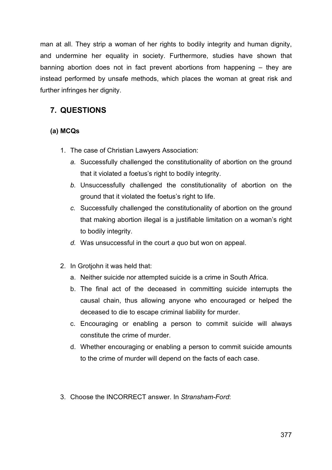man at all. They strip a woman of her rights to bodily integrity and human dignity, and undermine her equality in society. Furthermore, studies have shown that banning abortion does not in fact prevent abortions from happening – they are instead performed by unsafe methods, which places the woman at great risk and further infringes her dignity.

# **7. QUESTIONS**

# **(a) MCQs**

- 1. The case of Christian Lawyers Association:
	- *a.* Successfully challenged the constitutionality of abortion on the ground that it violated a foetus's right to bodily integrity.
	- *b.* Unsuccessfully challenged the constitutionality of abortion on the ground that it violated the foetus's right to life.
	- *c.* Successfully challenged the constitutionality of abortion on the ground that making abortion illegal is a justifiable limitation on a woman's right to bodily integrity.
	- *d.* Was unsuccessful in the court *a quo* but won on appeal.
- 2. In Grotjohn it was held that:
	- a. Neither suicide nor attempted suicide is a crime in South Africa.
	- b. The final act of the deceased in committing suicide interrupts the causal chain, thus allowing anyone who encouraged or helped the deceased to die to escape criminal liability for murder.
	- c. Encouraging or enabling a person to commit suicide will always constitute the crime of murder.
	- d. Whether encouraging or enabling a person to commit suicide amounts to the crime of murder will depend on the facts of each case.
- 3. Choose the INCORRECT answer. In *Stransham-Ford*: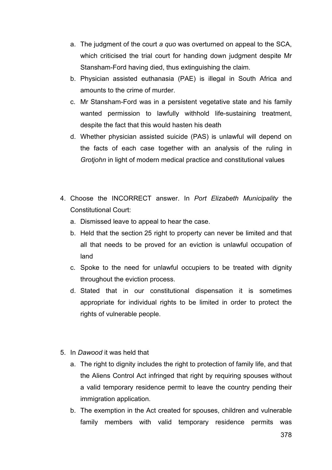- a. The judgment of the court *a quo* was overturned on appeal to the SCA, which criticised the trial court for handing down judgment despite Mr Stansham-Ford having died, thus extinguishing the claim.
- b. Physician assisted euthanasia (PAE) is illegal in South Africa and amounts to the crime of murder.
- c. Mr Stansham-Ford was in a persistent vegetative state and his family wanted permission to lawfully withhold life-sustaining treatment, despite the fact that this would hasten his death
- d. Whether physician assisted suicide (PAS) is unlawful will depend on the facts of each case together with an analysis of the ruling in *Grotjohn* in light of modern medical practice and constitutional values
- 4. Choose the INCORRECT answer. In *Port Elizabeth Municipality* the Constitutional Court:
	- a. Dismissed leave to appeal to hear the case.
	- b. Held that the section 25 right to property can never be limited and that all that needs to be proved for an eviction is unlawful occupation of land
	- c. Spoke to the need for unlawful occupiers to be treated with dignity throughout the eviction process.
	- d. Stated that in our constitutional dispensation it is sometimes appropriate for individual rights to be limited in order to protect the rights of vulnerable people.
- 5. In *Dawood* it was held that
	- a. The right to dignity includes the right to protection of family life, and that the Aliens Control Act infringed that right by requiring spouses without a valid temporary residence permit to leave the country pending their immigration application.
	- b. The exemption in the Act created for spouses, children and vulnerable family members with valid temporary residence permits was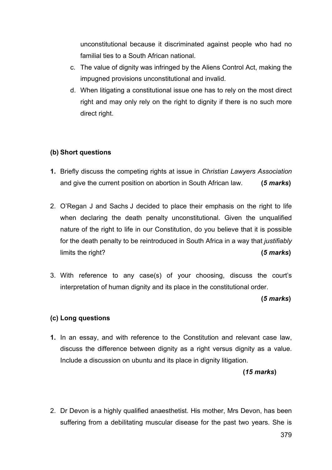unconstitutional because it discriminated against people who had no familial ties to a South African national.

- c. The value of dignity was infringed by the Aliens Control Act, making the impugned provisions unconstitutional and invalid.
- d. When litigating a constitutional issue one has to rely on the most direct right and may only rely on the right to dignity if there is no such more direct right.

## **(b) Short questions**

- **1.** Briefly discuss the competing rights at issue in *Christian Lawyers Association* and give the current position on abortion in South African law. **(***5 marks***)**
- 2. O'Regan J and Sachs J decided to place their emphasis on the right to life when declaring the death penalty unconstitutional. Given the unqualified nature of the right to life in our Constitution, do you believe that it is possible for the death penalty to be reintroduced in South Africa in a way that *justifiably* limits the right? **(***5 marks***)**
- 3. With reference to any case(s) of your choosing, discuss the court's interpretation of human dignity and its place in the constitutional order.

#### **(***5 marks***)**

#### **(c) Long questions**

**1.** In an essay, and with reference to the Constitution and relevant case law, discuss the difference between dignity as a right versus dignity as a value. Include a discussion on ubuntu and its place in dignity litigation.

#### **(***15 marks***)**

2. Dr Devon is a highly qualified anaesthetist. His mother, Mrs Devon, has been suffering from a debilitating muscular disease for the past two years. She is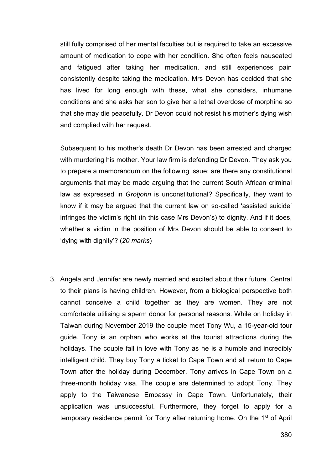still fully comprised of her mental faculties but is required to take an excessive amount of medication to cope with her condition. She often feels nauseated and fatigued after taking her medication, and still experiences pain consistently despite taking the medication. Mrs Devon has decided that she has lived for long enough with these, what she considers, inhumane conditions and she asks her son to give her a lethal overdose of morphine so that she may die peacefully. Dr Devon could not resist his mother's dying wish and complied with her request.

Subsequent to his mother's death Dr Devon has been arrested and charged with murdering his mother. Your law firm is defending Dr Devon. They ask you to prepare a memorandum on the following issue: are there any constitutional arguments that may be made arguing that the current South African criminal law as expressed in *Grotjohn* is unconstitutional? Specifically, they want to know if it may be argued that the current law on so-called 'assisted suicide' infringes the victim's right (in this case Mrs Devon's) to dignity. And if it does, whether a victim in the position of Mrs Devon should be able to consent to 'dying with dignity'? (*20 marks*)

3. Angela and Jennifer are newly married and excited about their future. Central to their plans is having children. However, from a biological perspective both cannot conceive a child together as they are women. They are not comfortable utilising a sperm donor for personal reasons. While on holiday in Taiwan during November 2019 the couple meet Tony Wu, a 15-year-old tour guide. Tony is an orphan who works at the tourist attractions during the holidays. The couple fall in love with Tony as he is a humble and incredibly intelligent child. They buy Tony a ticket to Cape Town and all return to Cape Town after the holiday during December. Tony arrives in Cape Town on a three-month holiday visa. The couple are determined to adopt Tony. They apply to the Taiwanese Embassy in Cape Town. Unfortunately, their application was unsuccessful. Furthermore, they forget to apply for a temporary residence permit for Tony after returning home. On the 1<sup>st</sup> of April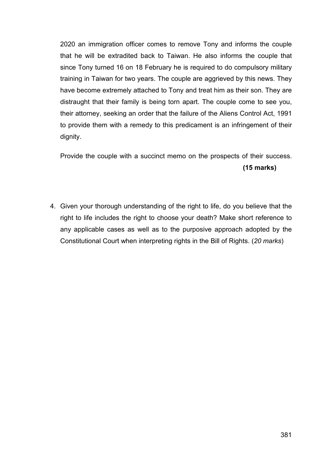2020 an immigration officer comes to remove Tony and informs the couple that he will be extradited back to Taiwan. He also informs the couple that since Tony turned 16 on 18 February he is required to do compulsory military training in Taiwan for two years. The couple are aggrieved by this news. They have become extremely attached to Tony and treat him as their son. They are distraught that their family is being torn apart. The couple come to see you, their attorney, seeking an order that the failure of the Aliens Control Act, 1991 to provide them with a remedy to this predicament is an infringement of their dignity.

Provide the couple with a succinct memo on the prospects of their success. **(15 marks)**

4. Given your thorough understanding of the right to life, do you believe that the right to life includes the right to choose your death? Make short reference to any applicable cases as well as to the purposive approach adopted by the Constitutional Court when interpreting rights in the Bill of Rights. (*20 marks*)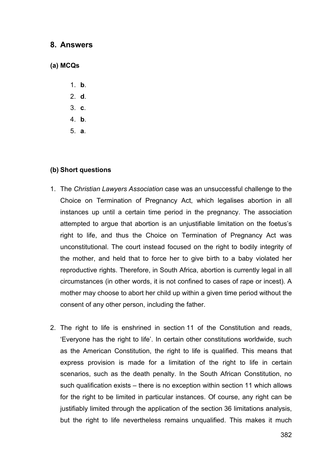## **8. Answers**

## **(a) MCQs**

- 1. **b**.
- 2. **d**.
- 3. **c**.
- 4. **b**.
- 5. **a**.

#### **(b) Short questions**

- 1. The *Christian Lawyers Association* case was an unsuccessful challenge to the Choice on Termination of Pregnancy Act, which legalises abortion in all instances up until a certain time period in the pregnancy. The association attempted to argue that abortion is an unjustifiable limitation on the foetus's right to life, and thus the Choice on Termination of Pregnancy Act was unconstitutional. The court instead focused on the right to bodily integrity of the mother, and held that to force her to give birth to a baby violated her reproductive rights. Therefore, in South Africa, abortion is currently legal in all circumstances (in other words, it is not confined to cases of rape or incest). A mother may choose to abort her child up within a given time period without the consent of any other person, including the father.
- 2. The right to life is enshrined in section 11 of the Constitution and reads, 'Everyone has the right to life'. In certain other constitutions worldwide, such as the American Constitution, the right to life is qualified. This means that express provision is made for a limitation of the right to life in certain scenarios, such as the death penalty. In the South African Constitution, no such qualification exists – there is no exception within section 11 which allows for the right to be limited in particular instances. Of course, any right can be justifiably limited through the application of the section 36 limitations analysis, but the right to life nevertheless remains unqualified. This makes it much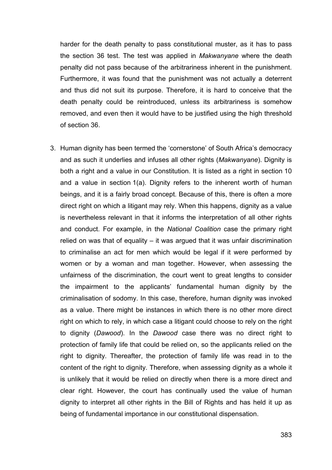harder for the death penalty to pass constitutional muster, as it has to pass the section 36 test. The test was applied in *Makwanyane* where the death penalty did not pass because of the arbitrariness inherent in the punishment. Furthermore, it was found that the punishment was not actually a deterrent and thus did not suit its purpose. Therefore, it is hard to conceive that the death penalty could be reintroduced, unless its arbitrariness is somehow removed, and even then it would have to be justified using the high threshold of section 36.

3. Human dignity has been termed the 'cornerstone' of South Africa's democracy and as such it underlies and infuses all other rights (*Makwanyane*). Dignity is both a right and a value in our Constitution. It is listed as a right in section 10 and a value in section 1(a). Dignity refers to the inherent worth of human beings, and it is a fairly broad concept. Because of this, there is often a more direct right on which a litigant may rely. When this happens, dignity as a value is nevertheless relevant in that it informs the interpretation of all other rights and conduct. For example, in the *National Coalition* case the primary right relied on was that of equality – it was argued that it was unfair discrimination to criminalise an act for men which would be legal if it were performed by women or by a woman and man together. However, when assessing the unfairness of the discrimination, the court went to great lengths to consider the impairment to the applicants' fundamental human dignity by the criminalisation of sodomy. In this case, therefore, human dignity was invoked as a value. There might be instances in which there is no other more direct right on which to rely, in which case a litigant could choose to rely on the right to dignity (*Dawood*). In the *Dawood* case there was no direct right to protection of family life that could be relied on, so the applicants relied on the right to dignity. Thereafter, the protection of family life was read in to the content of the right to dignity. Therefore, when assessing dignity as a whole it is unlikely that it would be relied on directly when there is a more direct and clear right. However, the court has continually used the value of human dignity to interpret all other rights in the Bill of Rights and has held it up as being of fundamental importance in our constitutional dispensation.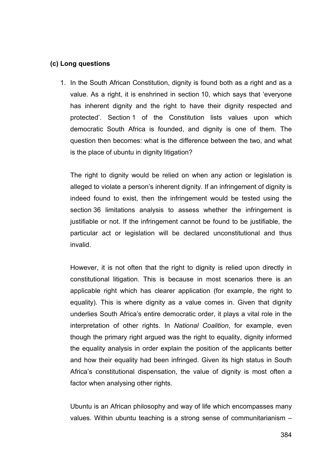#### **(c) Long questions**

1. In the South African Constitution, dignity is found both as a right and as a value. As a right, it is enshrined in section 10, which says that 'everyone has inherent dignity and the right to have their dignity respected and protected'. Section 1 of the Constitution lists values upon which democratic South Africa is founded, and dignity is one of them. The question then becomes: what is the difference between the two, and what is the place of ubuntu in dignity litigation?

The right to dignity would be relied on when any action or legislation is alleged to violate a person's inherent dignity. If an infringement of dignity is indeed found to exist, then the infringement would be tested using the section 36 limitations analysis to assess whether the infringement is justifiable or not. If the infringement cannot be found to be justifiable, the particular act or legislation will be declared unconstitutional and thus invalid.

However, it is not often that the right to dignity is relied upon directly in constitutional litigation. This is because in most scenarios there is an applicable right which has clearer application (for example, the right to equality). This is where dignity as a value comes in. Given that dignity underlies South Africa's entire democratic order, it plays a vital role in the interpretation of other rights. In *National Coalition*, for example, even though the primary right argued was the right to equality, dignity informed the equality analysis in order explain the position of the applicants better and how their equality had been infringed. Given its high status in South Africa's constitutional dispensation, the value of dignity is most often a factor when analysing other rights.

Ubuntu is an African philosophy and way of life which encompasses many values. Within ubuntu teaching is a strong sense of communitarianism –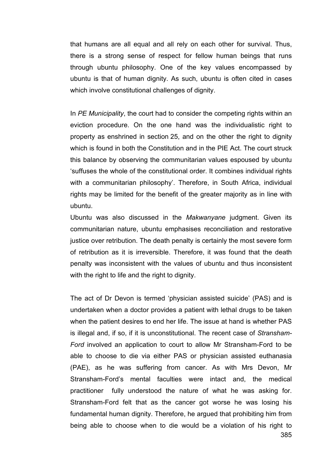that humans are all equal and all rely on each other for survival. Thus, there is a strong sense of respect for fellow human beings that runs through ubuntu philosophy. One of the key values encompassed by ubuntu is that of human dignity. As such, ubuntu is often cited in cases which involve constitutional challenges of dignity.

In *PE Municipality*, the court had to consider the competing rights within an eviction procedure. On the one hand was the individualistic right to property as enshrined in section 25, and on the other the right to dignity which is found in both the Constitution and in the PIE Act. The court struck this balance by observing the communitarian values espoused by ubuntu 'suffuses the whole of the constitutional order. It combines individual rights with a communitarian philosophy'. Therefore, in South Africa, individual rights may be limited for the benefit of the greater majority as in line with ubuntu.

Ubuntu was also discussed in the *Makwanyane* judgment. Given its communitarian nature, ubuntu emphasises reconciliation and restorative justice over retribution. The death penalty is certainly the most severe form of retribution as it is irreversible. Therefore, it was found that the death penalty was inconsistent with the values of ubuntu and thus inconsistent with the right to life and the right to dignity.

The act of Dr Devon is termed 'physician assisted suicide' (PAS) and is undertaken when a doctor provides a patient with lethal drugs to be taken when the patient desires to end her life. The issue at hand is whether PAS is illegal and, if so, if it is unconstitutional. The recent case of *Stransham-Ford* involved an application to court to allow Mr Stransham-Ford to be able to choose to die via either PAS or physician assisted euthanasia (PAE), as he was suffering from cancer. As with Mrs Devon, Mr Stransham-Ford's mental faculties were intact and, the medical practitioner fully understood the nature of what he was asking for. Stransham-Ford felt that as the cancer got worse he was losing his fundamental human dignity. Therefore, he argued that prohibiting him from being able to choose when to die would be a violation of his right to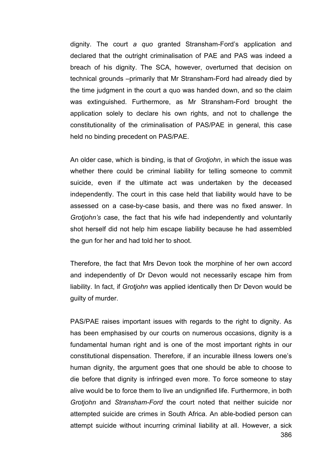dignity. The court *a quo* granted Stransham-Ford's application and declared that the outright criminalisation of PAE and PAS was indeed a breach of his dignity. The SCA, however, overturned that decision on technical grounds –primarily that Mr Stransham-Ford had already died by the time judgment in the court a quo was handed down, and so the claim was extinguished. Furthermore, as Mr Stransham-Ford brought the application solely to declare his own rights, and not to challenge the constitutionality of the criminalisation of PAS/PAE in general, this case held no binding precedent on PAS/PAE.

An older case, which is binding, is that of *Grotjohn*, in which the issue was whether there could be criminal liability for telling someone to commit suicide, even if the ultimate act was undertaken by the deceased independently. The court in this case held that liability would have to be assessed on a case-by-case basis, and there was no fixed answer. In *Grotjohn's* case, the fact that his wife had independently and voluntarily shot herself did not help him escape liability because he had assembled the gun for her and had told her to shoot.

Therefore, the fact that Mrs Devon took the morphine of her own accord and independently of Dr Devon would not necessarily escape him from liability. In fact, if *Grotjohn* was applied identically then Dr Devon would be guilty of murder.

PAS/PAE raises important issues with regards to the right to dignity. As has been emphasised by our courts on numerous occasions, dignity is a fundamental human right and is one of the most important rights in our constitutional dispensation. Therefore, if an incurable illness lowers one's human dignity, the argument goes that one should be able to choose to die before that dignity is infringed even more. To force someone to stay alive would be to force them to live an undignified life. Furthermore, in both *Grotjohn* and *Stransham-Ford* the court noted that neither suicide nor attempted suicide are crimes in South Africa. An able-bodied person can attempt suicide without incurring criminal liability at all. However, a sick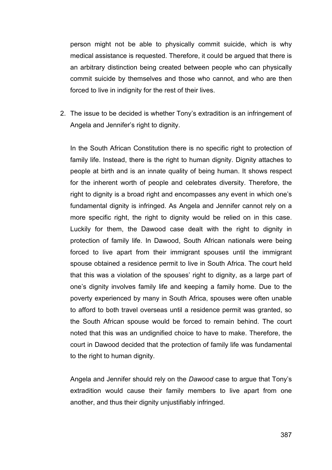person might not be able to physically commit suicide, which is why medical assistance is requested. Therefore, it could be argued that there is an arbitrary distinction being created between people who can physically commit suicide by themselves and those who cannot, and who are then forced to live in indignity for the rest of their lives.

2. The issue to be decided is whether Tony's extradition is an infringement of Angela and Jennifer's right to dignity.

In the South African Constitution there is no specific right to protection of family life. Instead, there is the right to human dignity. Dignity attaches to people at birth and is an innate quality of being human. It shows respect for the inherent worth of people and celebrates diversity. Therefore, the right to dignity is a broad right and encompasses any event in which one's fundamental dignity is infringed. As Angela and Jennifer cannot rely on a more specific right, the right to dignity would be relied on in this case. Luckily for them, the Dawood case dealt with the right to dignity in protection of family life. In Dawood, South African nationals were being forced to live apart from their immigrant spouses until the immigrant spouse obtained a residence permit to live in South Africa. The court held that this was a violation of the spouses' right to dignity, as a large part of one's dignity involves family life and keeping a family home. Due to the poverty experienced by many in South Africa, spouses were often unable to afford to both travel overseas until a residence permit was granted, so the South African spouse would be forced to remain behind. The court noted that this was an undignified choice to have to make. Therefore, the court in Dawood decided that the protection of family life was fundamental to the right to human dignity.

Angela and Jennifer should rely on the *Dawood* case to argue that Tony's extradition would cause their family members to live apart from one another, and thus their dignity unjustifiably infringed.